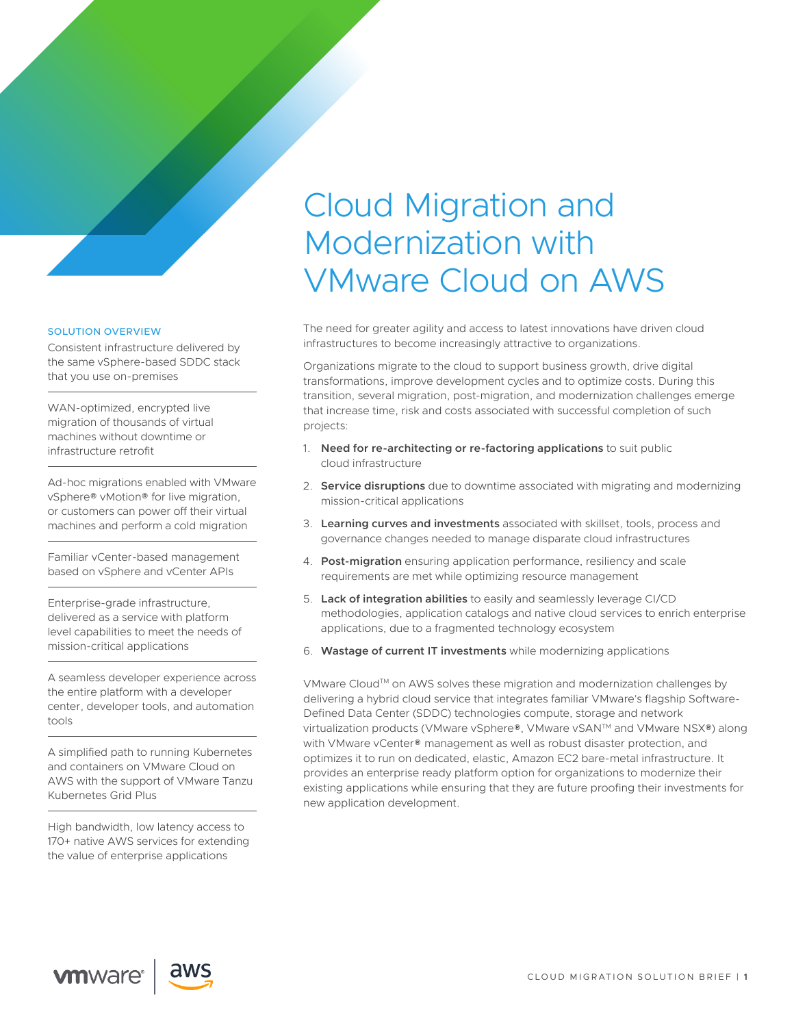# Cloud Migration and Modernization with VMware Cloud on AWS

The need for greater agility and access to latest innovations have driven cloud infrastructures to become increasingly attractive to organizations.

Organizations migrate to the cloud to support business growth, drive digital transformations, improve development cycles and to optimize costs. During this transition, several migration, post-migration, and modernization challenges emerge that increase time, risk and costs associated with successful completion of such projects:

- 1. **Need for re-architecting or re-factoring applications** to suit public cloud infrastructure
- 2. **Service disruptions** due to downtime associated with migrating and modernizing mission-critical applications
- 3. **Learning curves and investments** associated with skillset, tools, process and governance changes needed to manage disparate cloud infrastructures
- 4. **Post-migration** ensuring application performance, resiliency and scale requirements are met while optimizing resource management
- 5. **Lack of integration abilities** to easily and seamlessly leverage CI/CD methodologies, application catalogs and native cloud services to enrich enterprise applications, due to a fragmented technology ecosystem
- 6. **Wastage of current IT investments** while modernizing applications

VMware Cloud™ on AWS solves these migration and modernization challenges by delivering a hybrid cloud service that integrates familiar VMware's flagship Software-Defined Data Center (SDDC) technologies compute, storage and network virtualization products (VMware vSphere®, VMware vSAN™ and VMware NSX®) along with VMware vCenter® management as well as robust disaster protection, and optimizes it to run on dedicated, elastic, Amazon EC2 bare-metal infrastructure. It provides an enterprise ready platform option for organizations to modernize their existing applications while ensuring that they are future proofing their investments for new application development.

#### SOLUTION OVERVIEW

Consistent infrastructure delivered by the same vSphere-based SDDC stack that you use on-premises

WAN-optimized, encrypted live migration of thousands of virtual machines without downtime or infrastructure retrofit

Ad-hoc migrations enabled with VMware vSphere® vMotion® for live migration, or customers can power off their virtual machines and perform a cold migration

Familiar vCenter-based management based on vSphere and vCenter APIs

Enterprise-grade infrastructure, delivered as a service with platform level capabilities to meet the needs of mission-critical applications

A seamless developer experience across the entire platform with a developer center, developer tools, and automation tools

A simplified path to running Kubernetes and containers on VMware Cloud on AWS with the support of VMware Tanzu Kubernetes Grid Plus

High bandwidth, low latency access to 170+ native AWS services for extending the value of enterprise applications

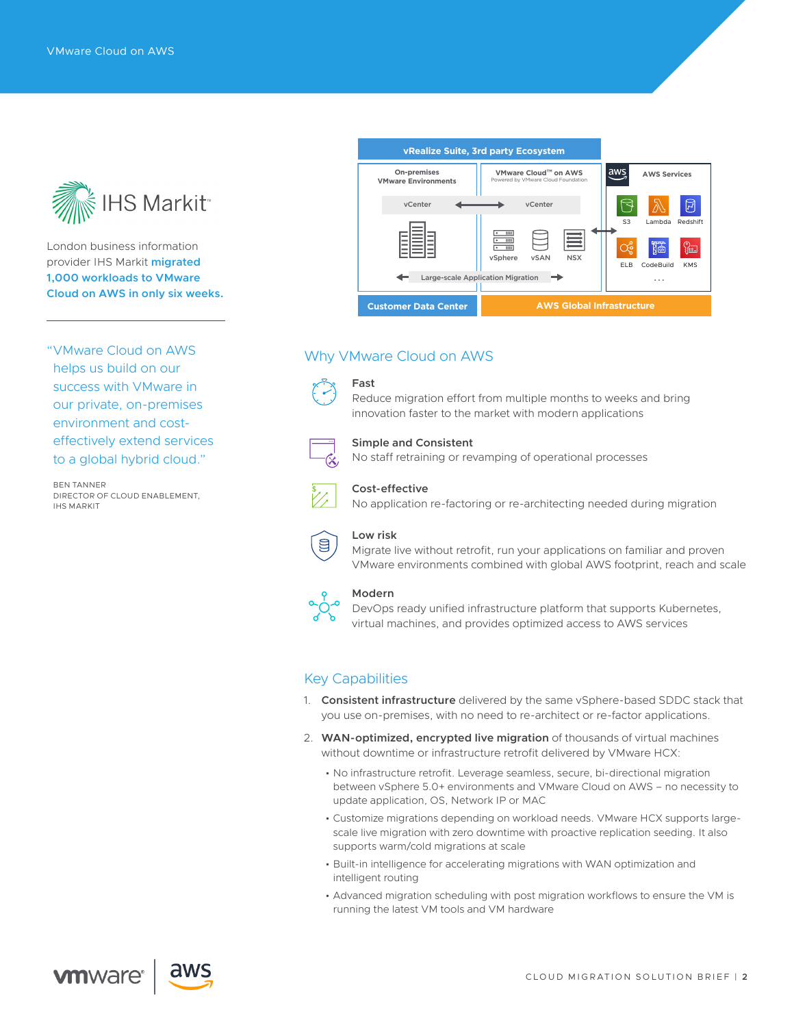

London business information provider IHS Markit **migrated 1,000 workloads to VMware Cloud on AWS in only six weeks.**

"VMware Cloud on AWS helps us build on our success with VMware in our private, on-premises environment and costeffectively extend services to a global hybrid cloud."

BEN TANNER DIRECTOR OF CLOUD ENABLEMENT, IHS MARKIT



# Why VMware Cloud on AWS

## **Fast**



## **Simple and Consistent**

No staff retraining or revamping of operational processes

innovation faster to the market with modern applications

Reduce migration effort from multiple months to weeks and bring



#### **Cost-effective**

No application re-factoring or re-architecting needed during migration



#### **Low risk**

Migrate live without retrofit, run your applications on familiar and proven VMware environments combined with global AWS footprint, reach and scale



### **Modern**

DevOps ready unified infrastructure platform that supports Kubernetes, virtual machines, and provides optimized access to AWS services

# Key Capabilities

- 1. **Consistent infrastructure** delivered by the same vSphere-based SDDC stack that you use on-premises, with no need to re-architect or re-factor applications.
- 2. **WAN-optimized, encrypted live migration** of thousands of virtual machines without downtime or infrastructure retrofit delivered by VMware HCX:
	- No infrastructure retrofit. Leverage seamless, secure, bi-directional migration between vSphere 5.0+ environments and VMware Cloud on AWS – no necessity to update application, OS, Network IP or MAC
	- Customize migrations depending on workload needs. VMware HCX supports largescale live migration with zero downtime with proactive replication seeding. It also supports warm/cold migrations at scale
	- Built-in intelligence for accelerating migrations with WAN optimization and intelligent routing
	- Advanced migration scheduling with post migration workflows to ensure the VM is running the latest VM tools and VM hardware

**vm**ware<sup>®</sup>